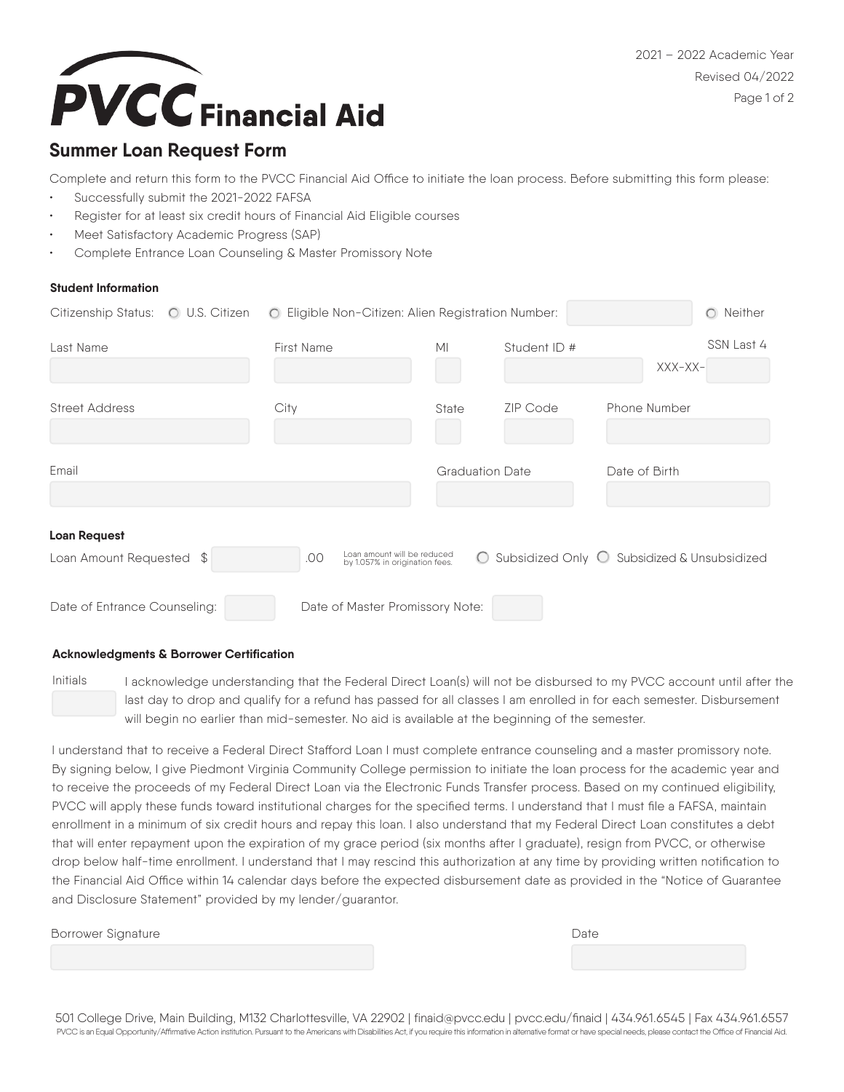2021 – 2022 Academic Year Revised 04/2022 Page 1 of 2



## **Summer Loan Request Form**

Complete and return this form to the PVCC Financial Aid Office to initiate the loan process. Before submitting this form please: Successfully submit the 2021-2022 FAFSA

- Register for at least six credit hours of Financial Aid Eligible courses
- Meet Satisfactory Academic Progress (SAP)
- Complete Entrance Loan Counseling & Master Promissory Note

## **Student Information**

| Citizenship Status: O U.S. Citizen              | O Eligible Non-Citizen: Alien Registration Number:                   |                        |                                               |               | O Neither  |
|-------------------------------------------------|----------------------------------------------------------------------|------------------------|-----------------------------------------------|---------------|------------|
| Last Name                                       | <b>First Name</b>                                                    | M <sub>l</sub>         | Student ID #                                  | $XXX-XX-$     | SSN Last 4 |
| <b>Street Address</b>                           | City                                                                 | <b>State</b>           | ZIP Code                                      | Phone Number  |            |
| Email                                           |                                                                      | <b>Graduation Date</b> |                                               | Date of Birth |            |
| <b>Loan Request</b><br>Loan Amount Requested \$ | Loan amount will be reduced<br>.00<br>by 1.057% in origination fees. |                        | ○ Subsidized Only ○ Subsidized & Unsubsidized |               |            |
| Date of Entrance Counseling:                    | Date of Master Promissory Note:                                      |                        |                                               |               |            |

### **Acknowledgments & Borrower Certification**

Initials

I acknowledge understanding that the Federal Direct Loan(s) will not be disbursed to my PVCC account until after the last day to drop and qualify for a refund has passed for all classes I am enrolled in for each semester. Disbursement will begin no earlier than mid-semester. No aid is available at the beginning of the semester.

I understand that to receive a Federal Direct Stafford Loan I must complete entrance counseling and a master promissory note. By signing below, I give Piedmont Virginia Community College permission to initiate the loan process for the academic year and to receive the proceeds of my Federal Direct Loan via the Electronic Funds Transfer process. Based on my continued eligibility, PVCC will apply these funds toward institutional charges for the specified terms. I understand that I must file a FAFSA, maintain enrollment in a minimum of six credit hours and repay this loan. I also understand that my Federal Direct Loan constitutes a debt that will enter repayment upon the expiration of my grace period (six months after I graduate), resign from PVCC, or otherwise drop below half-time enrollment. I understand that I may rescind this authorization at any time by providing written notification to the Financial Aid Office within 14 calendar days before the expected disbursement date as provided in the "Notice of Guarantee and Disclosure Statement" provided by my lender/guarantor.

Borrower Signature **Date**